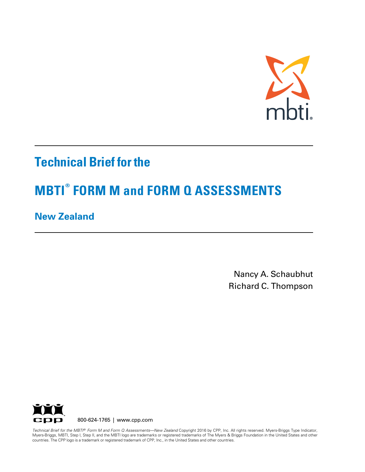

## **Technical Brief for the**

# **MBTI® FORM M and FORM Q ASSESSMENTS**

### **New Zealand**

Nancy A. Schaubhut Richard C. Thompson



countries. The CPP logo is a trademark or registered trademark of CPP, Inc., in the United States and other countries. *Technical Brief for the MBTI® Form M and Form Q Assessments—New Zealand* Copyright 2016 by CPP, Inc. All rights reserved. Myers-Briggs Type Indicator, Myers-Briggs, MBTI, Step I, Step II, and the MBTI logo are trademarks or registered trademarks of The Myers & Briggs Foundation in the United States and other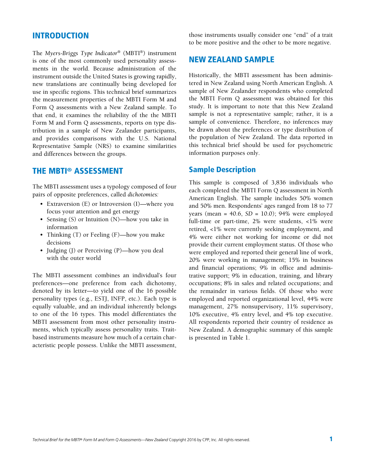#### INTRODUCTION

The *Myers-Briggs Type Indicator*® (MBTI®) instrument is one of the most commonly used personality assessments in the world. Because administration of the instrument outside the United States is growing rapidly, new translations are continually being developed for use in specific regions. This technical brief summarizes the measurement properties of the MBTI Form M and Form Q assessments with a New Zealand sample. To that end, it examines the reliability of the the MBTI Form M and Form Q assessments, reports on type distribution in a sample of New Zealander participants, and provides comparisons with the U.S. National Representative Sample (NRS) to examine similarities and differences between the groups.

### THE MBTI® ASSESSMENT

The MBTI assessment uses a typology composed of four pairs of opposite preferences, called *dichotomies:*

- Extraversion (E) or Introversion (I)—where you focus your attention and get energy
- Sensing (S) or Intuition (N)—how you take in information
- Thinking (T) or Feeling (F)—how you make decisions
- Judging (J) or Perceiving (P)—how you deal with the outer world

The MBTI assessment combines an individual's four preferences—one preference from each dichotomy, denoted by its letter—to yield one of the 16 possible personality types (e.g., ESTJ, INFP, etc.). Each type is equally valuable, and an individual inherently belongs to one of the 16 types. This model differentiates the MBTI assessment from most other personality instruments, which typically assess personality traits. Traitbased instruments measure how much of a certain characteristic people possess. Unlike the MBTI assessment,

those instruments usually consider one "end" of a trait to be more positive and the other to be more negative.

### NEW ZEALAND SAMPLE

Historically, the MBTI assessment has been administered in New Zealand using North American English. A sample of New Zealander respondents who completed the MBTI Form Q assessment was obtained for this study. It is important to note that this New Zealand sample is not a representative sample; rather, it is a sample of convenience. Therefore, no inferences may be drawn about the preferences or type distribution of the population of New Zealand. The data reported in this technical brief should be used for psychometric information purposes only.

#### Sample Description

This sample is composed of 3,836 individuals who each completed the MBTI Form Q assessment in North American English. The sample includes 50% women and 50% men. Respondents' ages ranged from 18 to 77 years (mean = 40.6, *SD* = 10.0); 94% were employed full-time or part-time, 2% were students, <1% were retired, <1% were currently seeking employment, and 4% were either not working for income or did not provide their current employment status. Of those who were employed and reported their general line of work, 20% were working in management; 15% in business and financial operations; 9% in office and administrative support; 9% in education, training, and library occupations; 8% in sales and related occupations; and the remainder in various fields. Of those who were employed and reported organizational level, 44% were management, 27% nonsupervisory, 11% supervisory, 10% executive, 4% entry level, and 4% top executive. All respondents reported their country of residence as New Zealand. A demographic summary of this sample is presented in Table 1.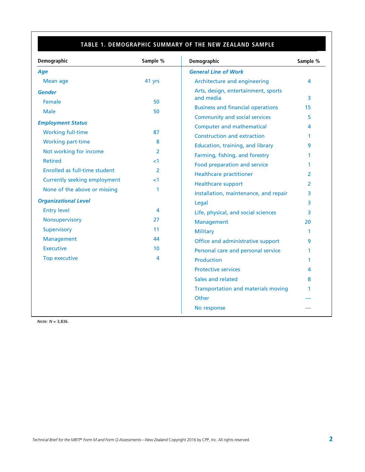### **TABLE 1. DEMOGRAPHIC SUMMARY OF THE NEW ZEALAND SAMPLE**

| Demographic                         | Sample %        | Demographic                                      | Sample %      |
|-------------------------------------|-----------------|--------------------------------------------------|---------------|
| Age                                 |                 | <b>General Line of Work</b>                      |               |
| <b>Mean age</b>                     | 41 yrs          | Architecture and engineering                     | 4             |
| <b>Gender</b>                       |                 | Arts, design, entertainment, sports<br>and media | 3             |
| Female                              | 50              | <b>Business and financial operations</b>         | 15            |
| <b>Male</b>                         | 50              | <b>Community and social services</b>             | 5             |
| <b>Employment Status</b>            |                 | <b>Computer and mathematical</b>                 | 4             |
| <b>Working full-time</b>            | 87              | <b>Construction and extraction</b>               | 1             |
| <b>Working part-time</b>            | 8               | Education, training, and library                 | 9             |
| Not working for income              | $\overline{2}$  | Farming, fishing, and forestry                   | 1             |
| <b>Retired</b>                      | ${<}1$          | Food preparation and service                     | $\mathbf 1$   |
| Enrolled as full-time student       | 2               | <b>Healthcare practitioner</b>                   | 2             |
| <b>Currently seeking employment</b> | ${<}1$          | <b>Healthcare support</b>                        | $\mathcal{P}$ |
| None of the above or missing        | 1               | Installation, maintenance, and repair            | 3             |
| <b>Organizational Level</b>         |                 | Legal                                            | 3             |
| <b>Entry level</b>                  | 4               | Life, physical, and social sciences              | 3             |
| Nonsupervisory                      | 27              | Management                                       | 20            |
| Supervisory                         | 11              | <b>Military</b>                                  | 1             |
| Management                          | 44              | Office and administrative support                | 9             |
| <b>Executive</b>                    | 10 <sup>1</sup> | Personal care and personal service               | 1             |
| Top executive                       | 4               | <b>Production</b>                                | $\mathbf 1$   |
|                                     |                 | <b>Protective services</b>                       | 4             |
|                                     |                 | Sales and related                                | 8             |
|                                     |                 | <b>Transportation and materials moving</b>       | 1             |
|                                     |                 | Other                                            |               |
|                                     |                 | No response                                      |               |

*Note: N* = 3,836.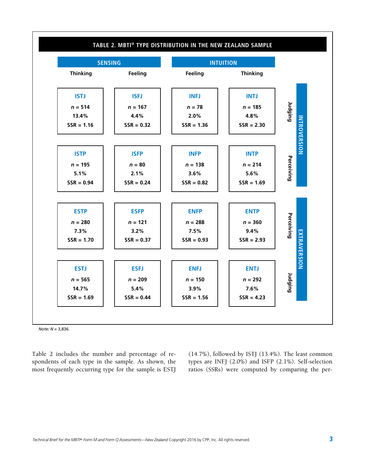

*Note: N* = 3,836.

Table 2 includes the number and percentage of respondents of each type in the sample. As shown, the most frequently occurring type for the sample is ESTJ (14.7%), followed by ISTJ (13.4%). The least common types are INFJ (2.0%) and ISFP (2.1%). Self-selection ratios (SSRs) were computed by comparing the per-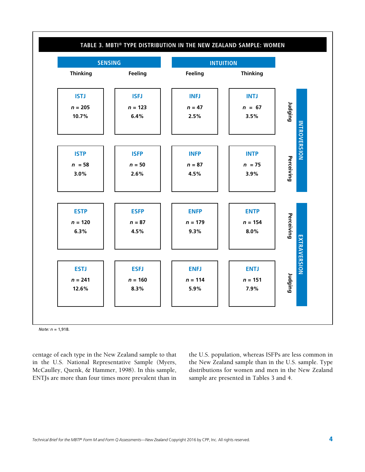

*Note: n =* 1,918.

centage of each type in the New Zealand sample to that in the U.S. National Representative Sample (Myers, McCaulley, Quenk, & Hammer, 1998). In this sample, ENTJs are more than four times more prevalent than in the U.S. population, whereas ISFPs are less common in the New Zealand sample than in the U.S. sample. Type distributions for women and men in the New Zealand sample are presented in Tables 3 and 4.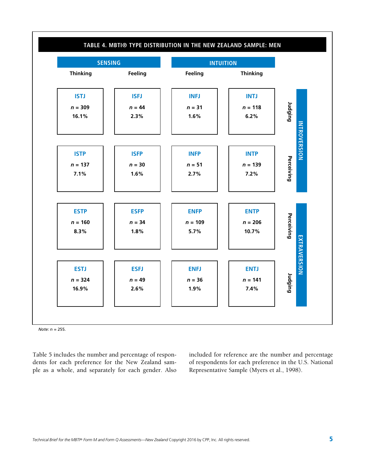

*Note: n =* 255.

Table 5 includes the number and percentage of respondents for each preference for the New Zealand sample as a whole, and separately for each gender. Also included for reference are the number and percentage of respondents for each preference in the U.S. National Representative Sample (Myers et al., 1998).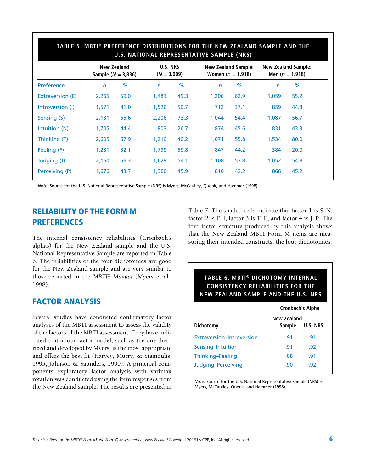|                   | New Zealand<br>Sample ( $N = 3,836$ ) |      | <b>U.S. NRS</b><br>$(N = 3,009)$ |      | <b>New Zealand Sample:</b><br>Women ( $n = 1,918$ ) |      | <b>New Zealand Sample:</b><br>Men $(n = 1,918)$ |      |
|-------------------|---------------------------------------|------|----------------------------------|------|-----------------------------------------------------|------|-------------------------------------------------|------|
| <b>Preference</b> | $\mathsf{n}$                          | %    | $\mathsf{n}$                     | %    | $\mathsf{n}$                                        | %    | $\mathsf{n}$                                    | %    |
| Extraversion (E)  | 2,265                                 | 59.0 | 1,483                            | 49.3 | 1,206                                               | 62.9 | 1,059                                           | 55.2 |
| Introversion (I)  | 1,571                                 | 41.0 | 1,526                            | 50.7 | 712                                                 | 37.1 | 859                                             | 44.8 |
| Sensing (S)       | 2,131                                 | 55.6 | 2,206                            | 73.3 | 1,044                                               | 54.4 | 1,087                                           | 56.7 |
| Intuition (N)     | 1,705                                 | 44.4 | 803                              | 26.7 | 874                                                 | 45.6 | 831                                             | 43.3 |
| Thinking (T)      | 2,605                                 | 67.9 | 1,210                            | 40.2 | 1,071                                               | 55.8 | 1,534                                           | 80.0 |
| Feeling (F)       | 1,231                                 | 32.1 | 1,799                            | 59.8 | 847                                                 | 44.2 | 384                                             | 20.0 |
| Judging (J)       | 2,160                                 | 56.3 | 1,629                            | 54.1 | 1,108                                               | 57.8 | 1,052                                           | 54.8 |
| Perceiving (P)    | 1,676                                 | 43.7 | 1,380                            | 45.9 | 810                                                 | 42.2 | 866                                             | 45.2 |
|                   |                                       |      |                                  |      |                                                     |      |                                                 |      |

### **TABLE 5. MBTI® PREFERENCE DISTRIBUTIONS FOR THE NEW ZEALAND SAMPLE AND THE**

*Note:* Source for the U.S. National Representative Sample (NRS) is Myers, McCaulley, Quenk, and Hammer (1998).

### RELIABILITY OF THE FORM M PREFERENCES

The internal consistency reliabilities (Cronbach's alphas) for the New Zealand sample and the U.S. National Representative Sample are reported in Table 6. The reliabilities of the four dichotomies are good for the New Zealand sample and are very similar to those reported in the *MBTI*® *Manual* (Myers et al., 1998).

### FACTOR ANALYSIS

Several studies have conducted confirmatory factor analyses of the MBTI assessment to assess the validity of the factors of the MBTI assessment. They have indicated that a four-factor model, such as the one theorized and developed by Myers, is the most appropriate and offers the best fit (Harvey, Murry, & Stamoulis, 1995; Johnson & Saunders, 1990). A principal components exploratory factor analysis with varimax rotation was conducted using the item responses from the New Zealand sample. The results are presented in Table 7. The shaded cells indicate that factor 1 is S–N, factor 2 is E–I, factor 3 is T–F, and factor 4 is J–P. The four-factor structure produced by this analysis shows that the New Zealand MBTI Form M items are measuring their intended constructs, the four dichotomies.

### **TABLE 6. MBTI® DICHOTOMY INTERNAL CONSISTENCY RELIABILITIES FOR THE NEW ZEALAND SAMPLE AND THE U.S. NRS**

|                           | Cronbach's Alpha      |                 |  |  |  |
|---------------------------|-----------------------|-----------------|--|--|--|
| Dichotomy                 | New Zealand<br>Sample | <b>U.S. NRS</b> |  |  |  |
| Extraversion-Introversion | .91                   | .91             |  |  |  |
| Sensing-Intuition         | .91                   | .92             |  |  |  |
| Thinking-Feeling          | .88                   | .91             |  |  |  |
| Judging-Perceiving        | .90                   | -92             |  |  |  |

*Note:* Source for the U.S. National Representative Sample (NRS) is Myers, McCaulley, Quenk, and Hammer (1998).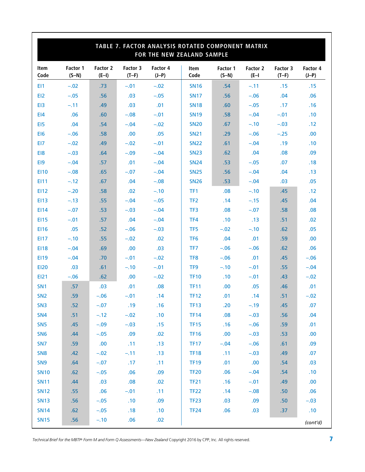| TABLE 7. FACTOR ANALYSIS ROTATED COMPONENT MATRIX<br>FOR THE NEW ZEALAND SAMPLE |                     |                     |                     |                     |                 |                     |                     |                     |                     |
|---------------------------------------------------------------------------------|---------------------|---------------------|---------------------|---------------------|-----------------|---------------------|---------------------|---------------------|---------------------|
| Item<br>Code                                                                    | Factor 1<br>$(S-N)$ | Factor 2<br>$(E-I)$ | Factor 3<br>$(T-F)$ | Factor 4<br>$(J-P)$ | Item<br>Code    | Factor 1<br>$(S-N)$ | Factor 2<br>$(E-I)$ | Factor 3<br>$(T-F)$ | Factor 4<br>$(J-P)$ |
| EI1                                                                             | $-.02$              | .73                 | $-.01$              | $-.02$              | <b>SN16</b>     | .54                 | $-.11$              | .15                 | .15                 |
| EI <sub>2</sub>                                                                 | $-.05$              | .56                 | .03                 | $-.05$              | <b>SN17</b>     | .56                 | $-.06$              | .04                 | .06                 |
| E <sub>13</sub>                                                                 | $-.11$              | .49                 | .03                 | .01                 | <b>SN18</b>     | .60                 | $-.05$              | .17                 | .16                 |
| E <sub>14</sub>                                                                 | .06                 | .60                 | $-.08$              | $-.01$              | <b>SN19</b>     | .58                 | $-.04$              | $-.01$              | .10                 |
| E <sub>15</sub>                                                                 | .04                 | .54                 | $-.04$              | $-.02$              | <b>SN20</b>     | .67                 | $-.10$              | $-.03$              | .12                 |
| EI <sub>6</sub>                                                                 | $-.06$              | .58                 | .00                 | .05                 | <b>SN21</b>     | .29                 | $-.06$              | $-.25$              | .00.                |
| EI7                                                                             | $-.02$              | .49                 | $-.02$              | $-.01$              | <b>SN22</b>     | .61                 | $-.04$              | .19                 | .10                 |
| EI8                                                                             | $-.03$              | .64                 | $-.09$              | $-.04$              | <b>SN23</b>     | .62                 | .04                 | .08                 | .09                 |
| E <sub>19</sub>                                                                 | $-.04$              | .57                 | .01                 | $-.04$              | <b>SN24</b>     | .53                 | $-.05$              | .07                 | .18                 |
| <b>EI10</b>                                                                     | $-.08$              | .65                 | $-.07$              | $-.04$              | <b>SN25</b>     | .56                 | $-.04$              | .04                 | .13                 |
| EI11                                                                            | $-.12$              | .67                 | .04                 | $-.08$              | <b>SN26</b>     | .53                 | $-.04$              | .03                 | .05                 |
| EI12                                                                            | $-.20$              | .58                 | .02                 | $-.10$              | TF <sub>1</sub> | .08                 | $-.10$              | .45                 | .12                 |
| <b>EI13</b>                                                                     | $-.13$              | .55                 | $-.04$              | $-.05$              | TF <sub>2</sub> | .14                 | $-.15$              | .45                 | .04                 |
| EI14                                                                            | $-.07$              | .53                 | $-.03$              | $-.04$              | TF3             | .08                 | $-.07$              | .58                 | .08                 |
| <b>EI15</b>                                                                     | $-.01$              | .57                 | .04                 | $-.04$              | TF4             | .10                 | .13                 | .51                 | .02                 |
| <b>EI16</b>                                                                     | .05                 | .52                 | $-.06$              | $-.03$              | TF <sub>5</sub> | $-.02$              | $-.10$              | .62                 | .05                 |
| <b>EI17</b>                                                                     | $-.10$              | .55                 | $-.02$              | .02                 | TF <sub>6</sub> | .04                 | .01                 | .59                 | .00                 |
| <b>EI18</b>                                                                     | $-.04$              | .69                 | .00                 | .03                 | TF7             | $-.06$              | $-.06$              | .62                 | .06                 |
| E119                                                                            | $-.04$              | .70                 | $-.01$              | $-.02$              | TF8             | $-.06$              | .01                 | .45                 | $-.06$              |
| <b>EI20</b>                                                                     | .03                 | .61                 | $-.10$              | $-.01$              | TF <sub>9</sub> | $-.10$              | $-.01$              | .55                 | $-.04$              |
| <b>EI21</b>                                                                     | $-.06$              | .62                 | .00                 | $-.02$              | <b>TF10</b>     | .10                 | $-.01$              | .43                 | $-.02$              |
| SN <sub>1</sub>                                                                 | .57                 | .03                 | .01                 | .08                 | <b>TF11</b>     | .00                 | .05                 | .46                 | .01                 |
| SN <sub>2</sub>                                                                 | .59                 | $-.06$              | $-.01$              | .14                 | <b>TF12</b>     | .01                 | .14                 | .51                 | $-.02$              |
| SN <sub>3</sub>                                                                 | .52                 | $-.07$              | .19                 | .16                 | <b>TF13</b>     | .20                 | $-.19$              | .45                 | .07                 |
| <b>SN4</b>                                                                      | .51                 | $-.12$              | $-.02$              | .10                 | <b>TF14</b>     | .08                 | $-.03$              | .56                 | .04                 |
| SN <sub>5</sub>                                                                 | .45                 | $-.09$              | $-.03$              | .15                 | <b>TF15</b>     | .16                 | $-.06$              | .59                 | .01                 |
| SN <sub>6</sub>                                                                 | .44                 | $-.05$              | .09                 | .02                 | <b>TF16</b>     | .00                 | $-.03$              | .53                 | .00                 |
| SN <sub>7</sub>                                                                 | .59                 | .00                 | .11                 | .13                 | <b>TF17</b>     | $-.04$              | $-.06$              | .61                 | .09                 |
| SN <sub>8</sub>                                                                 | .42                 | $-.02$              | $-.11$              | .13                 | <b>TF18</b>     | .11                 | $-.03$              | .49                 | .07                 |
| SN <sub>9</sub>                                                                 | .64                 | $-.07$              | .17                 | .11                 | <b>TF19</b>     | .01                 | .00                 | .54                 | .03                 |
| <b>SN10</b>                                                                     | .62                 | $-.05$              | .06                 | .09                 | <b>TF20</b>     | .06                 | $-.04$              | .54                 | .10                 |
| <b>SN11</b>                                                                     | .44                 | .03                 | .08                 | .02                 | <b>TF21</b>     | .16                 | $-.01$              | .49                 | .00                 |
| <b>SN12</b>                                                                     | .55                 | .06                 | $-.01$              | .11                 | <b>TF22</b>     | .14                 | $-.08$              | .50 <sub>1</sub>    | .06                 |
| <b>SN13</b>                                                                     | .56                 | $-.05$              | .10                 | .09                 | <b>TF23</b>     | .03                 | .09                 | .50 <sub>1</sub>    | $-.03$              |
| <b>SN14</b>                                                                     | .62                 | $-.05$              | .18                 | .10                 | <b>TF24</b>     | .06                 | .03                 | .37                 | .10                 |
| <b>SN15</b>                                                                     | .56                 | $-.10$              | .06                 | .02                 |                 |                     |                     |                     | (cont'd)            |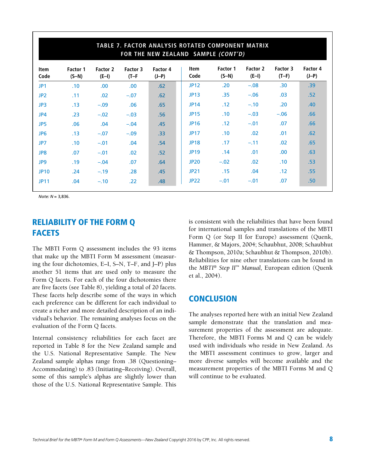|                 | TABLE 7. FACTOR ANALYSIS ROTATED COMPONENT MATRIX<br>FOR THE NEW ZEALAND SAMPLE (CONT'D) |                     |                     |                     |                     |                     |                     |                     |                     |
|-----------------|------------------------------------------------------------------------------------------|---------------------|---------------------|---------------------|---------------------|---------------------|---------------------|---------------------|---------------------|
| Item<br>Code    | <b>Factor 1</b><br>$(S-N)$                                                               | Factor 2<br>$(E-I)$ | Factor 3<br>$(T-F)$ | Factor 4<br>$(J-P)$ | <b>Item</b><br>Code | Factor 1<br>$(S-N)$ | Factor 2<br>$(E-I)$ | Factor 3<br>$(T-F)$ | Factor 4<br>$(J-P)$ |
| JP <sub>1</sub> | .10                                                                                      | .00.                | .00.                | .62                 | <b>JP12</b>         | .20                 | $-.08$              | .30 <sub>1</sub>    | .39                 |
| JP <sub>2</sub> | .11                                                                                      | .02                 | $-.07$              | .62                 | <b>JP13</b>         | .35                 | $-.06$              | .03                 | .52                 |
| JP3             | .13                                                                                      | $-.09$              | .06                 | .65                 | <b>JP14</b>         | .12                 | $-.10$              | .20                 | .40                 |
| JP4             | .23                                                                                      | $-.02$              | $-.03$              | .56                 | <b>JP15</b>         | .10                 | $-.03$              | $-.06$              | .66                 |
| JP5             | .06                                                                                      | .04                 | $-.04$              | .45                 | <b>JP16</b>         | .12                 | $-.01$              | .07                 | .66                 |
| JP <sub>6</sub> | .13                                                                                      | $-.07$              | $-.09$              | .33 <sub>1</sub>    | <b>JP17</b>         | .10                 | .02                 | .01                 | .62                 |
| JP7             | .10                                                                                      | $-.01$              | .04                 | .54                 | <b>JP18</b>         | .17                 | $-.11$              | .02                 | .65                 |
| JP8             | .07                                                                                      | $-.01$              | .02                 | .52                 | <b>JP19</b>         | .14                 | .01                 | .00.                | .63                 |
| JP9             | .19                                                                                      | $-.04$              | .07                 | .64                 | <b>JP20</b>         | $-.02$              | .02                 | .10                 | .53                 |
| <b>JP10</b>     | .24                                                                                      | $-.19$              | .28                 | .45                 | <b>JP21</b>         | .15                 | .04                 | .12                 | .55                 |
| <b>JP11</b>     | .04                                                                                      | $-.10$              | .22                 | .48                 | <b>JP22</b>         | $-.01$              | $-.01$              | .07                 | .50                 |

*Note: N* = 3,836.

### RELIABILITY OF THE FORM Q **FACETS**

The MBTI Form Q assessment includes the 93 items that make up the MBTI Form M assessment (measuring the four dichotomies, E–I, S–N, T–F, and J–P) plus another 51 items that are used only to measure the Form Q facets. For each of the four dichotomies there are five facets (see Table 8), yielding a total of 20 facets. These facets help describe some of the ways in which each preference can be different for each individual to create a richer and more detailed description of an individual's behavior. The remaining analyses focus on the evaluation of the Form Q facets.

Internal consistency reliabilities for each facet are reported in Table 8 for the New Zealand sample and the U.S. National Representative Sample. The New Zealand sample alphas range from .38 (Questioning– Accommodating) to .83 (Initiating–Receiving). Overall, some of this sample's alphas are slightly lower than those of the U.S. National Representative Sample. This

is consistent with the reliabilities that have been found for international samples and translations of the MBTI Form Q (or Step II for Europe) assessment (Quenk, Hammer, & Majors, 2004; Schaubhut, 2008; Schaubhut & Thompson, 2010a; Schaubhut & Thompson, 2010b). Reliabilities for nine other translations can be found in the *MBTI*® *Step II*™ *Manual,* European edition (Quenk et al., 2004).

### **CONCLUSION**

The analyses reported here with an initial New Zealand sample demonstrate that the translation and measurement properties of the assessment are adequate. Therefore, the MBTI Forms M and Q can be widely used with individuals who reside in New Zealand. As the MBTI assessment continues to grow, larger and more diverse samples will become available and the measurement properties of the MBTI Forms M and Q will continue to be evaluated.